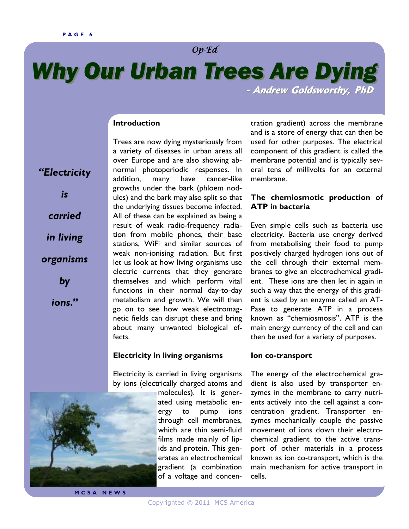*"Electricity* 

*is* 

*carried* 

*in living* 

*organisms* 

*by* 

*ions."* 

# Op-Ed

# *Why Our Urban Trees Are Dying*

 **- Andrew Goldsworthy, PhD**

# **Introduction**

Trees are now dying mysteriously from a variety of diseases in urban areas all over Europe and are also showing abnormal photoperiodic responses. In addition, many have cancer-like growths under the bark (phloem nodules) and the bark may also split so that the underlying tissues become infected. All of these can be explained as being a result of weak radio-frequency radiation from mobile phones, their base stations, WiFi and similar sources of weak non-ionising radiation. But first let us look at how living organisms use electric currents that they generate themselves and which perform vital functions in their normal day-to-day metabolism and growth. We will then go on to see how weak electromagnetic fields can disrupt these and bring about many unwanted biological effects.

#### **Electricity in living organisms**

Electricity is carried in living organisms by ions (electrically charged atoms and

> molecules). It is generated using metabolic energy to pump ions through cell membranes, which are thin semi-fluid films made mainly of lipids and protein. This generates an electrochemical gradient (a combination of a voltage and concen

tration gradient) across the membrane and is a store of energy that can then be used for other purposes. The electrical component of this gradient is called the membrane potential and is typically several tens of millivolts for an external membrane.

# **The chemiosmotic production of ATP in bacteria**

Even simple cells such as bacteria use electricity. Bacteria use energy derived from metabolising their food to pump positively charged hydrogen ions out of the cell through their external membranes to give an electrochemical gradient. These ions are then let in again in such a way that the energy of this gradient is used by an enzyme called an AT-Pase to generate ATP in a process known as "chemiosmosis". ATP is the main energy currency of the cell and can then be used for a variety of purposes.

#### **Ion co-transport**

The energy of the electrochemical gradient is also used by transporter enzymes in the membrane to carry nutrients actively into the cell against a concentration gradient. Transporter enzymes mechanically couple the passive movement of ions down their electrochemical gradient to the active transport of other materials in a process known as ion co-transport, which is the main mechanism for active transport in cells.



**M C S A N E W S**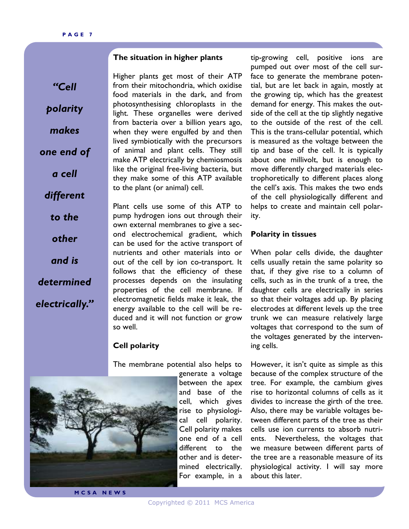#### **The situation in higher plants**

*"Cell polarity makes one end of a cell different to the other and is determined electrically."*  Higher plants get most of their ATP from their mitochondria, which oxidise food materials in the dark, and from photosynthesising chloroplasts in the light. These organelles were derived from bacteria over a billion years ago, when they were engulfed by and then lived symbiotically with the precursors of animal and plant cells. They still make ATP electrically by chemiosmosis like the original free-living bacteria, but they make some of this ATP available to the plant (or animal) cell.

Plant cells use some of this ATP to pump hydrogen ions out through their own external membranes to give a second electrochemical gradient, which can be used for the active transport of nutrients and other materials into or out of the cell by ion co-transport. It follows that the efficiency of these processes depends on the insulating properties of the cell membrane. If electromagnetic fields make it leak, the energy available to the cell will be reduced and it will not function or grow so well.

# **Cell polarity**

The membrane potential also helps to



generate a voltage between the apex and base of the cell, which gives rise to physiological cell polarity. Cell polarity makes one end of a cell different to the other and is determined electrically. For example, in a

tip-growing cell, positive ions are pumped out over most of the cell surface to generate the membrane potential, but are let back in again, mostly at the growing tip, which has the greatest demand for energy. This makes the outside of the cell at the tip slightly negative to the outside of the rest of the cell. This is the trans-cellular potential, which is measured as the voltage between the tip and base of the cell. It is typically about one millivolt, but is enough to move differently charged materials electrophoretically to different places along the cell's axis. This makes the two ends of the cell physiologically different and helps to create and maintain cell polarity.

#### **Polarity in tissues**

When polar cells divide, the daughter cells usually retain the same polarity so that, if they give rise to a column of cells, such as in the trunk of a tree, the daughter cells are electrically in series so that their voltages add up. By placing electrodes at different levels up the tree trunk we can measure relatively large voltages that correspond to the sum of the voltages generated by the intervening cells.

However, it isn't quite as simple as this because of the complex structure of the tree. For example, the cambium gives rise to horizontal columns of cells as it divides to increase the girth of the tree. Also, there may be variable voltages between different parts of the tree as their cells use ion currents to absorb nutrients. Nevertheless, the voltages that we measure between different parts of the tree are a reasonable measure of its physiological activity. I will say more about this later.

**M C S A N E W S**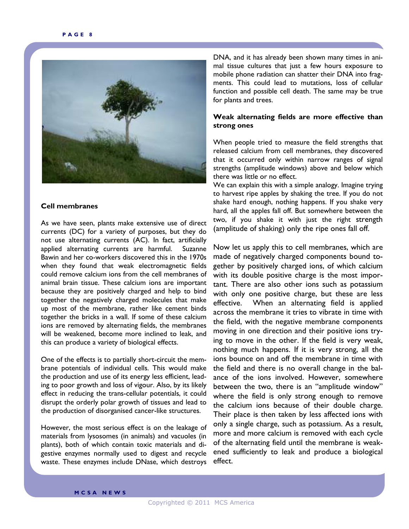

#### **Cell membranes**

As we have seen, plants make extensive use of direct currents (DC) for a variety of purposes, but they do not use alternating currents (AC). In fact, artificially applied alternating currents are harmful. Suzanne Bawin and her co-workers discovered this in the 1970s when they found that weak electromagnetic fields could remove calcium ions from the cell membranes of animal brain tissue. These calcium ions are important because they are positively charged and help to bind together the negatively charged molecules that make up most of the membrane, rather like cement binds together the bricks in a wall. If some of these calcium ions are removed by alternating fields, the membranes will be weakened, become more inclined to leak, and this can produce a variety of biological effects.

One of the effects is to partially short-circuit the membrane potentials of individual cells. This would make the production and use of its energy less efficient, leading to poor growth and loss of vigour. Also, by its likely effect in reducing the trans-cellular potentials, it could disrupt the orderly polar growth of tissues and lead to the production of disorganised cancer-like structures.

However, the most serious effect is on the leakage of materials from lysosomes (in animals) and vacuoles (in plants), both of which contain toxic materials and digestive enzymes normally used to digest and recycle waste. These enzymes include DNase, which destroys

DNA, and it has already been shown many times in animal tissue cultures that just a few hours exposure to mobile phone radiation can shatter their DNA into fragments. This could lead to mutations, loss of cellular function and possible cell death. The same may be true for plants and trees.

#### **Weak alternating fields are more effective than strong ones**

When people tried to measure the field strengths that released calcium from cell membranes, they discovered that it occurred only within narrow ranges of signal strengths (amplitude windows) above and below which there was little or no effect.

We can explain this with a simple analogy. Imagine trying to harvest ripe apples by shaking the tree. If you do not shake hard enough, nothing happens. If you shake very hard, all the apples fall off. But somewhere between the two, if you shake it with just the right strength (amplitude of shaking) only the ripe ones fall off.

Now let us apply this to cell membranes, which are made of negatively charged components bound together by positively charged ions, of which calcium with its double positive charge is the most important. There are also other ions such as potassium with only one positive charge, but these are less effective. When an alternating field is applied across the membrane it tries to vibrate in time with the field, with the negative membrane components moving in one direction and their positive ions trying to move in the other. If the field is very weak, nothing much happens. If it is very strong, all the ions bounce on and off the membrane in time with the field and there is no overall change in the balance of the ions involved. However, somewhere between the two, there is an "amplitude window" where the field is only strong enough to remove the calcium ions because of their double charge. Their place is then taken by less affected ions with only a single charge, such as potassium. As a result, more and more calcium is removed with each cycle of the alternating field until the membrane is weakened sufficiently to leak and produce a biological effect.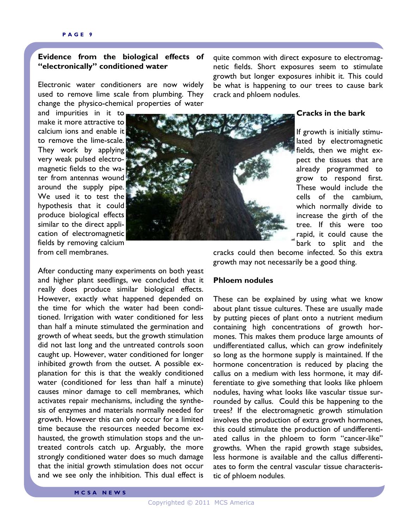# **Evidence from the biological effects of "electronically" conditioned water**

Electronic water conditioners are now widely used to remove lime scale from plumbing. They change the physico-chemical properties of water

and impurities in it to make it more attractive to calcium ions and enable it to remove the lime-scale. They work by applying very weak pulsed electromagnetic fields to the water from antennas wound around the supply pipe. We used it to test the hypothesis that it could produce biological effects similar to the direct application of electromagnetic fields by removing calcium from cell membranes.



quite common with direct exposure to electromagnetic fields. Short exposures seem to stimulate growth but longer exposures inhibit it. This could be what is happening to our trees to cause bark crack and phloem nodules.

# **Cracks in the bark**

If growth is initially stimulated by electromagnetic fields, then we might expect the tissues that are already programmed to grow to respond first. These would include the cells of the cambium, which normally divide to increase the girth of the tree. If this were too rapid, it could cause the bark to split and the

After conducting many experiments on both yeast and higher plant seedlings, we concluded that it really does produce similar biological effects. However, exactly what happened depended on the time for which the water had been conditioned. Irrigation with water conditioned for less than half a minute stimulated the germination and growth of wheat seeds, but the growth stimulation did not last long and the untreated controls soon caught up. However, water conditioned for longer inhibited growth from the outset. A possible explanation for this is that the weakly conditioned water (conditioned for less than half a minute) causes minor damage to cell membranes, which activates repair mechanisms, including the synthesis of enzymes and materials normally needed for growth. However this can only occur for a limited time because the resources needed become exhausted, the growth stimulation stops and the untreated controls catch up. Arguably, the more strongly conditioned water does so much damage that the initial growth stimulation does not occur and we see only the inhibition. This dual effect is

cracks could then become infected. So this extra growth may not necessarily be a good thing.

#### **Phloem nodules**

These can be explained by using what we know about plant tissue cultures. These are usually made by putting pieces of plant onto a nutrient medium containing high concentrations of growth hormones. This makes them produce large amounts of undifferentiated callus, which can grow indefinitely so long as the hormone supply is maintained. If the hormone concentration is reduced by placing the callus on a medium with less hormone, it may differentiate to give something that looks like phloem nodules, having what looks like vascular tissue surrounded by callus. Could this be happening to the trees? If the electromagnetic growth stimulation involves the production of extra growth hormones, this could stimulate the production of undifferentiated callus in the phloem to form "cancer-like" growths. When the rapid growth stage subsides, less hormone is available and the callus differentiates to form the central vascular tissue characteristic of phloem nodules.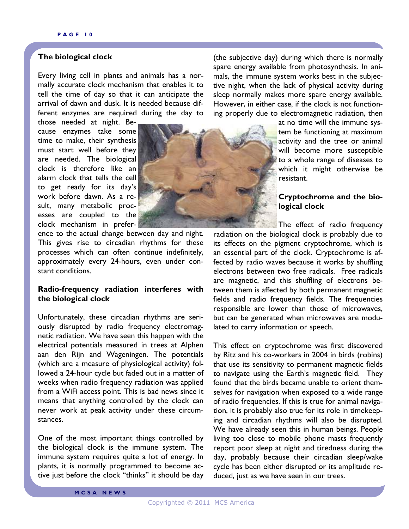# **The biological clock**

Every living cell in plants and animals has a normally accurate clock mechanism that enables it to tell the time of day so that it can anticipate the arrival of dawn and dusk. It is needed because different enzymes are required during the day to

those needed at night. Because enzymes take some time to make, their synthesis must start well before they are needed. The biological clock is therefore like an alarm clock that tells the cell to get ready for its day's work before dawn. As a result, many metabolic processes are coupled to the clock mechanism in prefer-



ence to the actual change between day and night. This gives rise to circadian rhythms for these processes which can often continue indefinitely, approximately every 24-hours, even under constant conditions.

#### **Radio-frequency radiation interferes with the biological clock**

Unfortunately, these circadian rhythms are seriously disrupted by radio frequency electromagnetic radiation. We have seen this happen with the electrical potentials measured in trees at Alphen aan den Rijn and Wageningen. The potentials (which are a measure of physiological activity) followed a 24-hour cycle but faded out in a matter of weeks when radio frequency radiation was applied from a WiFi access point. This is bad news since it means that anything controlled by the clock can never work at peak activity under these circumstances.

One of the most important things controlled by the biological clock is the immune system. The immune system requires quite a lot of energy. In plants, it is normally programmed to become active just before the clock "thinks" it should be day

(the subjective day) during which there is normally spare energy available from photosynthesis. In animals, the immune system works best in the subjective night, when the lack of physical activity during sleep normally makes more spare energy available. However, in either case, if the clock is not functioning properly due to electromagnetic radiation, then

> at no time will the immune system be functioning at maximum activity and the tree or animal will become more susceptible to a whole range of diseases to which it might otherwise be resistant.

# **Cryptochrome and the biological clock**

The effect of radio frequency

radiation on the biological clock is probably due to its effects on the pigment cryptochrome, which is an essential part of the clock. Cryptochrome is affected by radio waves because it works by shuffling electrons between two free radicals. Free radicals are magnetic, and this shuffling of electrons between them is affected by both permanent magnetic fields and radio frequency fields. The frequencies responsible are lower than those of microwaves, but can be generated when microwaves are modulated to carry information or speech.

This effect on cryptochrome was first discovered by Ritz and his co-workers in 2004 in birds (robins) that use its sensitivity to permanent magnetic fields to navigate using the Earth's magnetic field. They found that the birds became unable to orient themselves for navigation when exposed to a wide range of radio frequencies. If this is true for animal navigation, it is probably also true for its role in timekeeping and circadian rhythms will also be disrupted. We have already seen this in human beings. People living too close to mobile phone masts frequently report poor sleep at night and tiredness during the day, probably because their circadian sleep/wake cycle has been either disrupted or its amplitude reduced, just as we have seen in our trees.